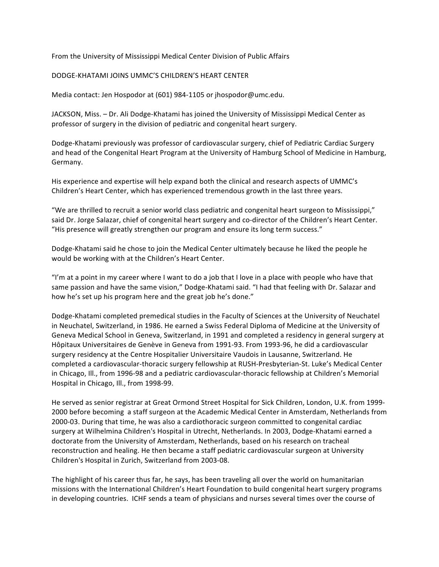From the University of Mississippi Medical Center Division of Public Affairs

## DODGE‐KHATAMI JOINS UMMC'S CHILDREN'S HEART CENTER

Media contact: Jen Hospodor at (601) 984‐1105 or jhospodor@umc.edu.

JACKSON, Miss. – Dr. Ali Dodge‐Khatami has joined the University of Mississippi Medical Center as professor of surgery in the division of pediatric and congenital heart surgery.

Dodge‐Khatami previously was professor of cardiovascular surgery, chief of Pediatric Cardiac Surgery and head of the Congenital Heart Program at the University of Hamburg School of Medicine in Hamburg, Germany.

His experience and expertise will help expand both the clinical and research aspects of UMMC's Children's Heart Center, which has experienced tremendous growth in the last three years.

"We are thrilled to recruit a senior world class pediatric and congenital heart surgeon to Mississippi," said Dr. Jorge Salazar, chief of congenital heart surgery and co-director of the Children's Heart Center. "His presence will greatly strengthen our program and ensure its long term success."

Dodge‐Khatami said he chose to join the Medical Center ultimately because he liked the people he would be working with at the Children's Heart Center.

"I'm at a point in my career where I want to do a job that I love in a place with people who have that same passion and have the same vision," Dodge-Khatami said. "I had that feeling with Dr. Salazar and how he's set up his program here and the great job he's done."

Dodge‐Khatami completed premedical studies in the Faculty of Sciences at the University of Neuchatel in Neuchatel, Switzerland, in 1986. He earned a Swiss Federal Diploma of Medicine at the University of Geneva Medical School in Geneva, Switzerland, in 1991 and completed a residency in general surgery at Hôpitaux Universitaires de Genève in Geneva from 1991‐93. From 1993‐96, he did a cardiovascular surgery residency at the Centre Hospitalier Universitaire Vaudois in Lausanne, Switzerland. He completed a cardiovascular‐thoracic surgery fellowship at RUSH‐Presbyterian‐St. Luke's Medical Center in Chicago, Ill., from 1996‐98 and a pediatric cardiovascular‐thoracic fellowship at Children's Memorial Hospital in Chicago, Ill., from 1998‐99.

He served as senior registrar at Great Ormond Street Hospital for Sick Children, London, U.K. from 1999‐ 2000 before becoming a staff surgeon at the Academic Medical Center in Amsterdam, Netherlands from 2000‐03. During that time, he was also a cardiothoracic surgeon committed to congenital cardiac surgery at Wilhelmina Children's Hospital in Utrecht, Netherlands. In 2003, Dodge‐Khatami earned a doctorate from the University of Amsterdam, Netherlands, based on his research on tracheal reconstruction and healing. He then became a staff pediatric cardiovascular surgeon at University Children's Hospital in Zurich, Switzerland from 2003‐08.

The highlight of his career thus far, he says, has been traveling all over the world on humanitarian missions with the International Children's Heart Foundation to build congenital heart surgery programs in developing countries. ICHF sends a team of physicians and nurses several times over the course of